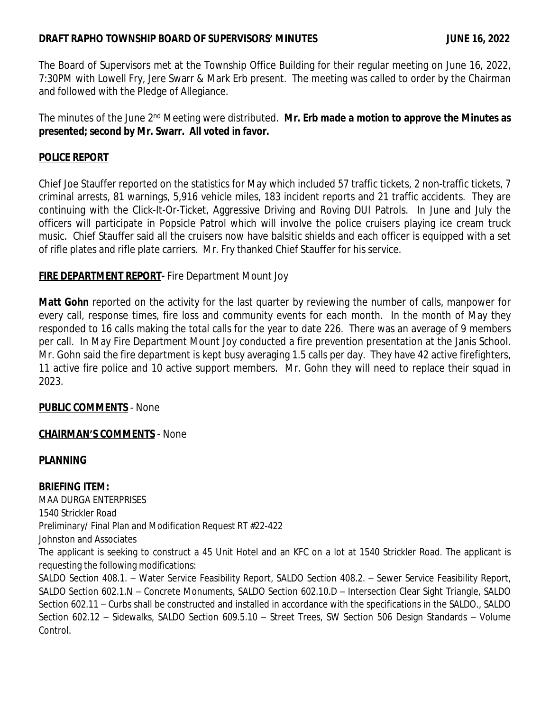## **DRAFT RAPHO TOWNSHIP BOARD OF SUPERVISORS' MINUTES JUNE 16, 2022**

The Board of Supervisors met at the Township Office Building for their regular meeting on June 16, 2022, 7:30PM with Lowell Fry, Jere Swarr & Mark Erb present. The meeting was called to order by the Chairman and followed with the Pledge of Allegiance.

The minutes of the June 2 nd Meeting were distributed. **Mr. Erb made a motion to approve the Minutes as presented; second by Mr. Swarr. All voted in favor.**

# **POLICE REPORT**

Chief Joe Stauffer reported on the statistics for May which included 57 traffic tickets, 2 non-traffic tickets, 7 criminal arrests, 81 warnings, 5,916 vehicle miles, 183 incident reports and 21 traffic accidents. They are continuing with the Click-It-Or-Ticket, Aggressive Driving and Roving DUI Patrols. In June and July the officers will participate in Popsicle Patrol which will involve the police cruisers playing ice cream truck music. Chief Stauffer said all the cruisers now have balsitic shields and each officer is equipped with a set of rifle plates and rifle plate carriers. Mr. Fry thanked Chief Stauffer for his service.

## **FIRE DEPARTMENT REPORT-** Fire Department Mount Joy

**Matt Gohn** reported on the activity for the last quarter by reviewing the number of calls, manpower for every call, response times, fire loss and community events for each month. In the month of May they responded to 16 calls making the total calls for the year to date 226. There was an average of 9 members per call. In May Fire Department Mount Joy conducted a fire prevention presentation at the Janis School. Mr. Gohn said the fire department is kept busy averaging 1.5 calls per day. They have 42 active firefighters, 11 active fire police and 10 active support members. Mr. Gohn they will need to replace their squad in 2023.

## **PUBLIC COMMENTS** - None

### **CHAIRMAN'S COMMENTS** - None

## **PLANNING**

**BRIEFING ITEM:** MAA DURGA ENTERPRISES 1540 Strickler Road Preliminary/ Final Plan and Modification Request RT #22-422 Johnston and Associates The applicant is seeking to construct a 45 Unit Hotel and an KFC on a lot at 1540 Strickler Road. The applicant is requesting the following modifications: SALDO Section 408.1. – Water Service Feasibility Report, SALDO Section 408.2. – Sewer Service Feasibility Report, SALDO Section 602.1.N – Concrete Monuments, SALDO Section 602.10.D – Intersection Clear Sight Triangle, SALDO Section 602.11 – Curbs shall be constructed and installed in accordance with the specifications in the SALDO., SALDO Section 602.12 – Sidewalks, SALDO Section 609.5.10 – Street Trees, SW Section 506 Design Standards – Volume Control.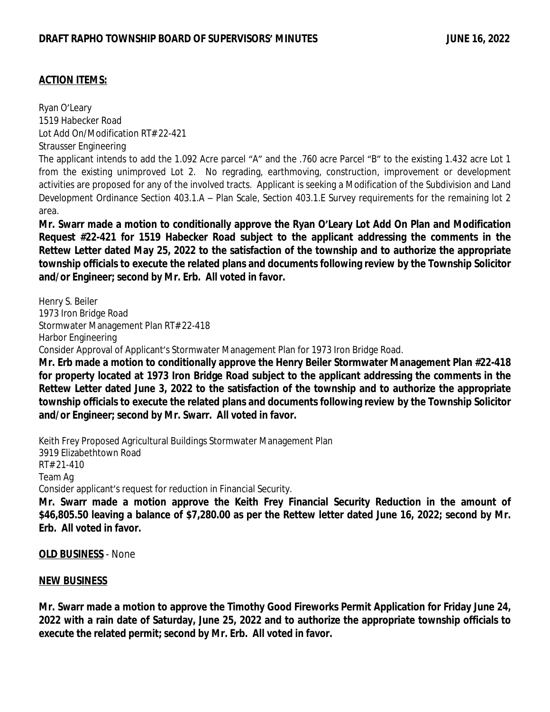### **ACTION ITEMS:**

Ryan O'Leary 1519 Habecker Road Lot Add On/Modification RT# 22-421 Strausser Engineering The applicant intends to add the 1.092 Acre parcel "A" and the .760 acre Parcel "B" to the existing 1.432 acre Lot 1 from the existing unimproved Lot 2. No regrading, earthmoving, construction, improvement or development activities are proposed for any of the involved tracts. Applicant is seeking a Modification of the Subdivision and Land Development Ordinance Section 403.1.A – Plan Scale, Section 403.1.E Survey requirements for the remaining lot 2 area.

Mr. Swarr made a motion to conditionally approve the Ryan O'Leary Lot Add On Plan and Modification **Request #22-421 for 1519 Habecker Road subject to the applicant addressing the comments in the Rettew Letter dated May 25, 2022 to the satisfaction of the township and to authorize the appropriate township officials to execute the related plans and documents following review by the Township Solicitor and/or Engineer; second by Mr. Erb. All voted in favor.**

Henry S. Beiler 1973 Iron Bridge Road Stormwater Management Plan RT# 22-418 Harbor Engineering Consider Approval of Applicant's Stormwater Management Plan for 1973 Iron Bridge Road. **Mr. Erb made a motion to conditionally approve the Henry Beiler Stormwater Management Plan #22-418**

**for property located at 1973 Iron Bridge Road subject to the applicant addressing the comments in the Rettew Letter dated June 3, 2022 to the satisfaction of the township and to authorize the appropriate township officials to execute the related plans and documents following review by the Township Solicitor and/or Engineer; second by Mr. Swarr. All voted in favor.**

Keith Frey Proposed Agricultural Buildings Stormwater Management Plan 3919 Elizabethtown Road RT# 21-410 Team Ag Consider applicant's request for reduction in Financial Security. **Mr. Swarr made a motion approve the Keith Frey Financial Security Reduction in the amount of**

\$46,805.50 leaving a balance of \$7,280.00 as per the Rettew letter dated June 16, 2022; second by Mr. **Erb. All voted in favor.**

**OLD BUSINESS** - None

#### **NEW BUSINESS**

**Mr. Swarr made a motion to approve the Timothy Good Fireworks Permit Application for Friday June 24,** 2022 with a rain date of Saturday, June 25, 2022 and to authorize the appropriate township officials to **execute the related permit; second by Mr. Erb. All voted in favor.**